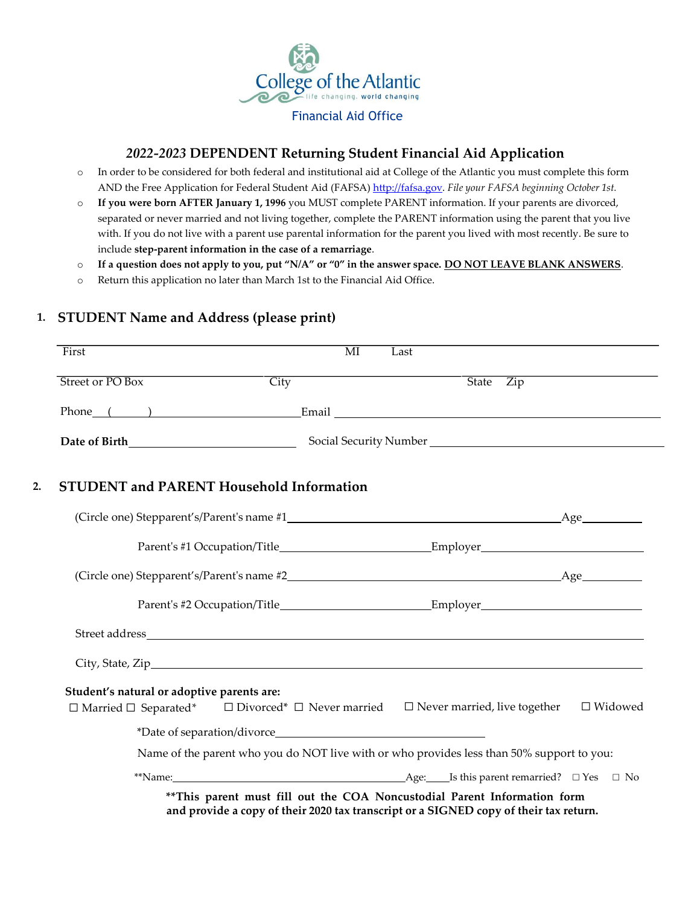

### Financial Aid Office

## *2022-2023* **DEPENDENT Returning Student Financial Aid Application**

- o In order to be considered for both federal and institutional aid at College of the Atlantic you must complete this form AND the Free Application for Federal Student Aid (FAF[SA\)](http://www.fafsa.gov/) [http://fafsa.gov.](http://www.fafsa.gov/) *File your FAFSA beginning October 1st.*
- o **If you were born AFTER January 1, 1996** you MUST complete PARENT information. If your parents are divorced, separated or never married and not living together, complete the PARENT information using the parent that you live with. If you do not live with a parent use parental information for the parent you lived with most recently. Be sure to include **step-parent information in the case of a remarriage**.
- o **If a question does not apply to you, put "N/A" or "0" in the answer space. DO NOT LEAVE BLANK ANSWERS**.
- o Return this application no later than March 1st to the Financial Aid Office.

# **1. STUDENT Name and Address (please print)**

|    | First                                           | $\overline{\text{MI}}$<br>Last                                                                                                                                                                                                 |
|----|-------------------------------------------------|--------------------------------------------------------------------------------------------------------------------------------------------------------------------------------------------------------------------------------|
|    | Street or PO Box                                | <b>City</b><br>Zip<br>State                                                                                                                                                                                                    |
|    |                                                 | Phone () Email Email Email Email Email Email Email Email Email Email Email Email Email Email Email Email Email Email Email Email Email Email Email Email Email Email Email Email Email Email Email Email Email Email Email Ema |
|    |                                                 |                                                                                                                                                                                                                                |
| 2. | <b>STUDENT and PARENT Household Information</b> |                                                                                                                                                                                                                                |
|    |                                                 |                                                                                                                                                                                                                                |
|    |                                                 |                                                                                                                                                                                                                                |
|    |                                                 | (Circle one) Stepparent's/Parent's name #2                                                                                                                                                                                     |
|    |                                                 | Parent's #2 Occupation/Title________________________________Employer________________________________                                                                                                                           |
|    |                                                 |                                                                                                                                                                                                                                |
|    |                                                 |                                                                                                                                                                                                                                |
|    | Student's natural or adoptive parents are:      | $\Box$ Married $\Box$ Separated* $\Box$ Divorced* $\Box$ Never married $\Box$ Never married, live together<br>$\Box$ Widowed                                                                                                   |
|    |                                                 |                                                                                                                                                                                                                                |
|    |                                                 | Name of the parent who you do NOT live with or who provides less than 50% support to you:                                                                                                                                      |
|    |                                                 |                                                                                                                                                                                                                                |
|    |                                                 | ** This parent must fill out the COA Noncustodial Parent Information form<br>and provide a copy of their 2020 tax transcript or a SIGNED copy of their tax return.                                                             |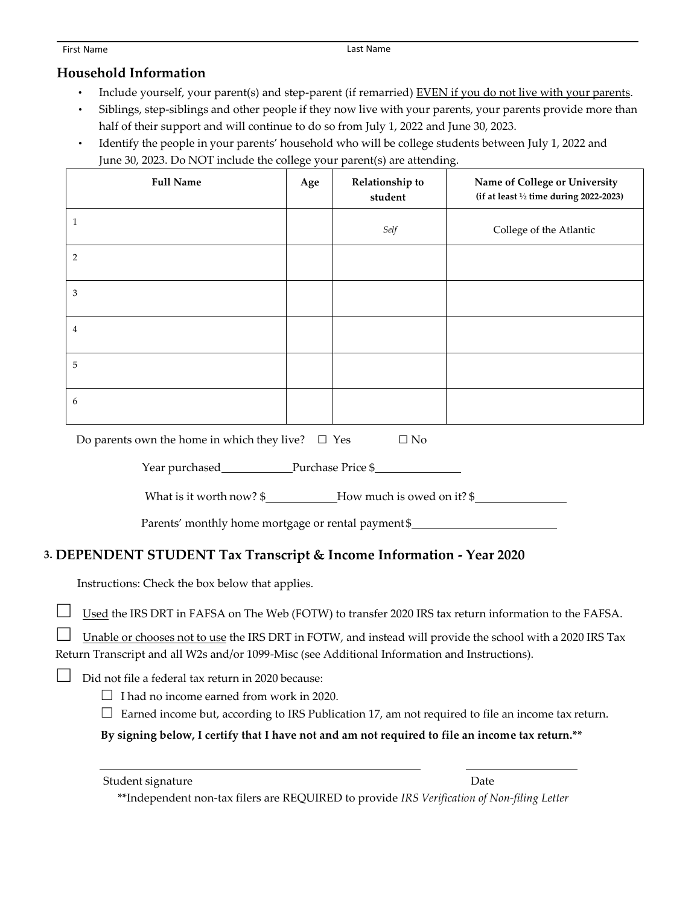### First Name Last Name

## **Household Information**

- Include yourself, your parent(s) and step-parent (if remarried) EVEN if you do not live with your parents.
- Siblings, step-siblings and other people if they now live with your parents, your parents provide more than half of their support and will continue to do so from July 1, 2022 and June 30, 2023.
- Identify the people in your parents' household who will be college students between July 1, 2022 and June 30, 2023. Do NOT include the college your parent(s) are attending.

| <b>Full Name</b>                                                          | Age | Relationship to<br>student | Name of College or University<br>(if at least $\frac{1}{2}$ time during 2022-2023) |
|---------------------------------------------------------------------------|-----|----------------------------|------------------------------------------------------------------------------------|
| 1                                                                         |     | Self                       | College of the Atlantic                                                            |
| $\overline{2}$                                                            |     |                            |                                                                                    |
| 3                                                                         |     |                            |                                                                                    |
| $\overline{4}$                                                            |     |                            |                                                                                    |
| 5                                                                         |     |                            |                                                                                    |
| 6                                                                         |     |                            |                                                                                    |
| Do parents own the home in which they live? $\square$ Yes<br>$\square$ No |     |                            |                                                                                    |

Year purchased Purchase Price \$

What is it worth now?  $\frac{1}{2}$  How much is owed on it?  $\frac{1}{2}$ 

Parents' monthly home mortgage or rental payment \$

# **3. DEPENDENT STUDENT Tax Transcript & Income Information - Year 2020**

Instructions: Check the box below that applies.

Used the IRS DRT in FAFSA on The Web (FOTW) to transfer 2020 IRS tax return information to the FAFSA.

 $\Box$  Unable or chooses not to use the IRS DRT in FOTW, and instead will provide the school with a 2020 IRS Tax Return Transcript and all W2s and/or 1099-Misc (see Additional Information and Instructions).

### Did not file a federal tax return in 2020 because:

 $\Box$  I had no income earned from work in 2020.

 $\Box$  Earned income but, according to IRS Publication 17, am not required to file an income tax return.

**By signing below, I certify that I have not and am not required to file an income tax return.\*\***

| Student signature | Date |
|-------------------|------|
|                   |      |

\*\*Independent non-tax filers are REQUIRED to provide *IRS Verification of Non-filing Letter*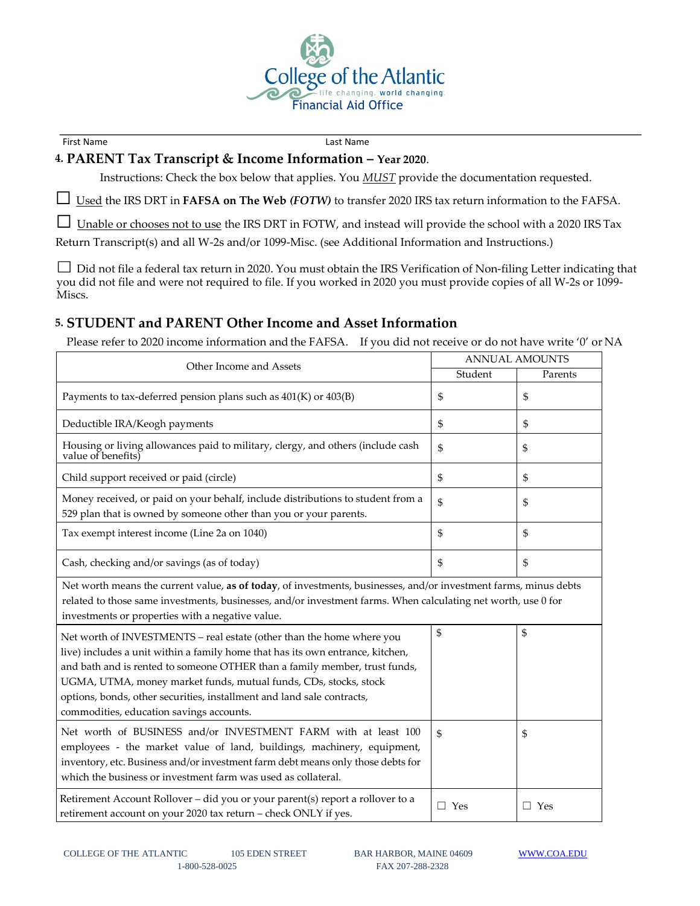

First Name Last Name

### **4. PARENT Tax Transcript & Income Information – Year 2020**.

Instructions: Check the box below that applies. You *MUST* provide the documentation requested.

☐ Used the IRS DRT in **FAFSA on The Web** *(FOTW)* to transfer <sup>2020</sup> IRS tax return information to the FAFSA*.*

 $\Box$  Unable or chooses not to use the IRS DRT in FOTW, and instead will provide the school with a 2020 IRS Tax

Return Transcript(s) and all W-2s and/or 1099-Misc. (see Additional Information and Instructions.)

☐ Did not file <sup>a</sup> federal tax return in 2020. You must obtain the IRS Verification of Non-filing Letter indicating that you did not file and were not required to file. If you worked in 2020 you must provide copies of all W-2s or 1099-Miscs.

## **5. STUDENT and PARENT Other Income and Asset Information**

Please refer to 2020 income information and the FAFSA. If you did not receive or do not have write '0' or NA

| Other Income and Assets                                                                                                                                                                                                                                                                                                                                                                                                         | ANNUAL AMOUNTS |            |
|---------------------------------------------------------------------------------------------------------------------------------------------------------------------------------------------------------------------------------------------------------------------------------------------------------------------------------------------------------------------------------------------------------------------------------|----------------|------------|
|                                                                                                                                                                                                                                                                                                                                                                                                                                 | Student        | Parents    |
| Payments to tax-deferred pension plans such as 401(K) or 403(B)                                                                                                                                                                                                                                                                                                                                                                 | \$             | \$         |
| Deductible IRA/Keogh payments                                                                                                                                                                                                                                                                                                                                                                                                   | \$             | \$         |
| Housing or living allowances paid to military, clergy, and others (include cash<br>value of benefits)                                                                                                                                                                                                                                                                                                                           | \$             | \$         |
| Child support received or paid (circle)                                                                                                                                                                                                                                                                                                                                                                                         | \$             | \$         |
| Money received, or paid on your behalf, include distributions to student from a<br>529 plan that is owned by someone other than you or your parents.                                                                                                                                                                                                                                                                            | \$             | \$         |
| Tax exempt interest income (Line 2a on 1040)                                                                                                                                                                                                                                                                                                                                                                                    | \$             | \$         |
| Cash, checking and/or savings (as of today)                                                                                                                                                                                                                                                                                                                                                                                     | \$             | \$         |
| Net worth means the current value, as of today, of investments, businesses, and/or investment farms, minus debts<br>related to those same investments, businesses, and/or investment farms. When calculating net worth, use 0 for<br>investments or properties with a negative value.                                                                                                                                           |                |            |
| Net worth of INVESTMENTS - real estate (other than the home where you<br>live) includes a unit within a family home that has its own entrance, kitchen,<br>and bath and is rented to someone OTHER than a family member, trust funds,<br>UGMA, UTMA, money market funds, mutual funds, CDs, stocks, stock<br>options, bonds, other securities, installment and land sale contracts,<br>commodities, education savings accounts. | \$             | \$         |
| Net worth of BUSINESS and/or INVESTMENT FARM with at least 100<br>employees - the market value of land, buildings, machinery, equipment,<br>inventory, etc. Business and/or investment farm debt means only those debts for<br>which the business or investment farm was used as collateral.                                                                                                                                    | \$             | \$         |
| Retirement Account Rollover - did you or your parent(s) report a rollover to a<br>retirement account on your 2020 tax return - check ONLY if yes.                                                                                                                                                                                                                                                                               | $\Box$ Yes     | $\Box$ Yes |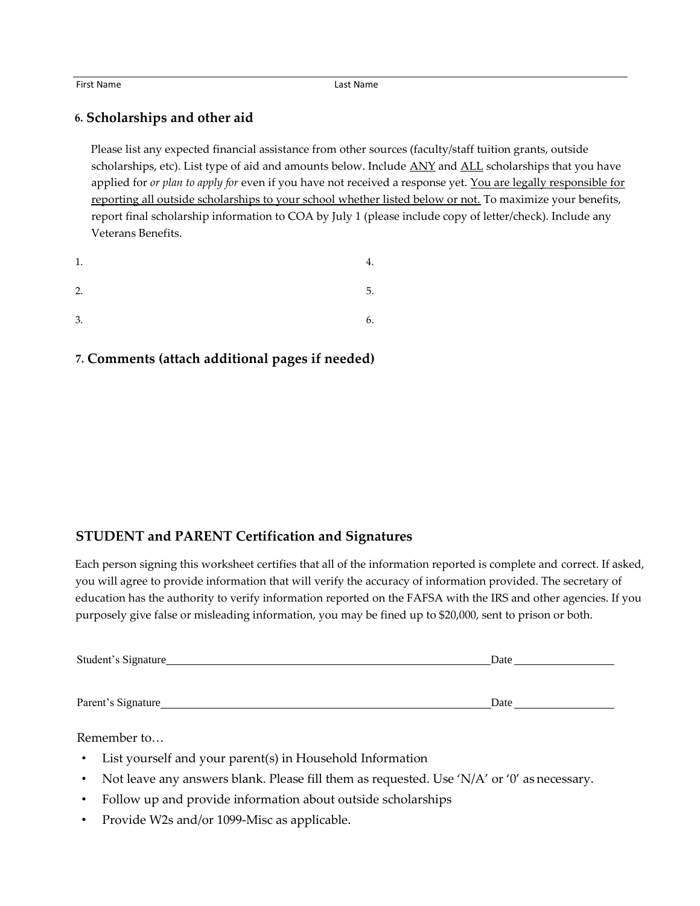#### First Name Last Name

# **6. Scholarships and other aid**

Please list any expected financial assistance from other sources (faculty/staff tuition grants, outside scholarships, etc). List type of aid and amounts below. Include ANY and ALL scholarships that you have applied for *or plan to apply for* even if you have not received a response yet. You are legally responsible for reporting all outside scholarships to your school whether listed below or not. To maximize your benefits, report final scholarship information to COA by July 1 (please include copy of letter/check). Include any Veterans Benefits.

| 1. | 4. |
|----|----|
| 2. | 5. |
| 3. | 6. |

# **7. Comments (attach additional pages if needed)**

## **STUDENT and PARENT Certification and Signatures**

Each person signing this worksheet certifies that all of the information reported is complete and correct. If asked, you will agree to provide information that will verify the accuracy of information provided. The secretary of education has the authority to verify information reported on the FAFSA with the IRS and other agencies. If you purposely give false or misleading information, you may be fined up to \$20,000, sent to prison or both.

| Student's Signature | Date |
|---------------------|------|
| Parent's Signature  | Date |
| Remember to         |      |

- List yourself and your parent(s) in Household Information
- Not leave any answers blank. Please fill them as requested. Use 'N/A' or '0' as necessary.
- Follow up and provide information about outside scholarships
- Provide W2s and/or 1099-Misc as applicable.